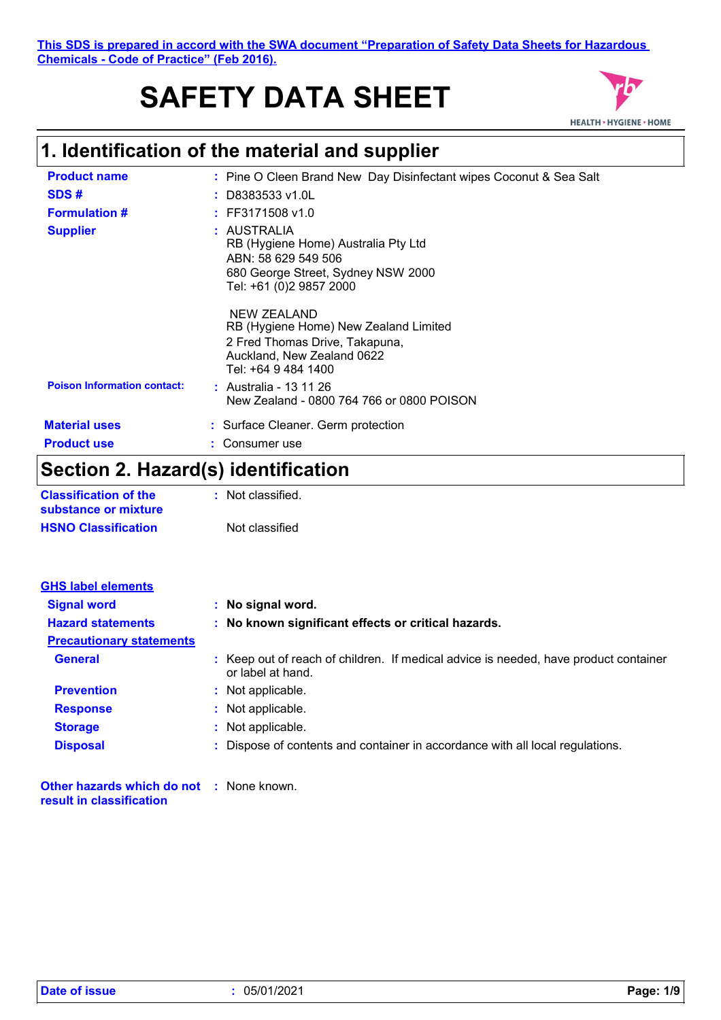# **SAFETY DATA SHEET**



## **1. Identification of the material and supplier**

| <b>Product name</b>                | : Pine O Cleen Brand New Day Disinfectant wipes Coconut & Sea Salt                                                                          |
|------------------------------------|---------------------------------------------------------------------------------------------------------------------------------------------|
| SDS#                               | : D8383533 v1.0L                                                                                                                            |
| <b>Formulation #</b>               | $:$ FF3171508 v1.0                                                                                                                          |
| <b>Supplier</b>                    | : AUSTRALIA<br>RB (Hygiene Home) Australia Pty Ltd<br>ABN: 58 629 549 506<br>680 George Street, Sydney NSW 2000<br>Tel: +61 (0)2 9857 2000  |
|                                    | NEW ZEALAND<br>RB (Hygiene Home) New Zealand Limited<br>2 Fred Thomas Drive, Takapuna,<br>Auckland, New Zealand 0622<br>Tel: +64 9 484 1400 |
| <b>Poison Information contact:</b> | : Australia - 13 11 26<br>New Zealand - 0800 764 766 or 0800 POISON                                                                         |
| <b>Material uses</b>               | : Surface Cleaner. Germ protection                                                                                                          |
| <b>Product use</b>                 | : Consumer use                                                                                                                              |
| .<br>. .                           | .                                                                                                                                           |

### **Section 2. Hazard(s) identification**

| <b>Classification of the</b> | : Not classified. |
|------------------------------|-------------------|
| substance or mixture         |                   |
| <b>HSNO Classification</b>   | Not classified    |

| <b>GHS label elements</b>       |                                                                                                           |
|---------------------------------|-----------------------------------------------------------------------------------------------------------|
| <b>Signal word</b>              | : No signal word.                                                                                         |
| <b>Hazard statements</b>        | : No known significant effects or critical hazards.                                                       |
| <b>Precautionary statements</b> |                                                                                                           |
| <b>General</b>                  | : Keep out of reach of children. If medical advice is needed, have product container<br>or label at hand. |
| <b>Prevention</b>               | : Not applicable.                                                                                         |
| <b>Response</b>                 | : Not applicable.                                                                                         |
| <b>Storage</b>                  | : Not applicable.                                                                                         |
| <b>Disposal</b>                 | Dispose of contents and container in accordance with all local regulations.                               |
|                                 |                                                                                                           |

**Other hazards which do not :** None known. **result in classification**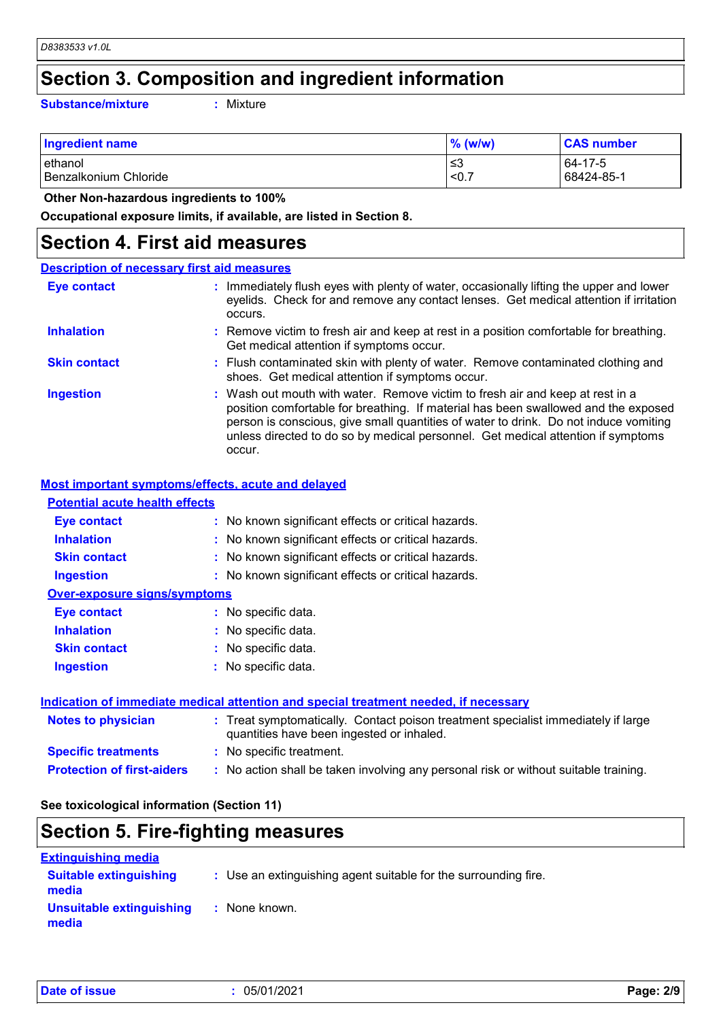### **Section 3. Composition and ingredient information**

**Substance/mixture :**

: Mixture

| <b>Ingredient name</b> | $\%$ (w/w) | <b>CAS number</b> |
|------------------------|------------|-------------------|
| lethanol               | ≤3         | 64-17-5           |
| Benzalkonium Chloride  | < 0.7      | 68424-85-1        |

 **Other Non-hazardous ingredients to 100%**

**Occupational exposure limits, if available, are listed in Section 8.**

### **Section 4. First aid measures**

| <b>Description of necessary first aid measures</b> |                                                                                                                                                                                                                                                                                                                                                           |
|----------------------------------------------------|-----------------------------------------------------------------------------------------------------------------------------------------------------------------------------------------------------------------------------------------------------------------------------------------------------------------------------------------------------------|
| <b>Eye contact</b>                                 | : Immediately flush eyes with plenty of water, occasionally lifting the upper and lower<br>eyelids. Check for and remove any contact lenses. Get medical attention if irritation<br>occurs.                                                                                                                                                               |
| <b>Inhalation</b>                                  | : Remove victim to fresh air and keep at rest in a position comfortable for breathing.<br>Get medical attention if symptoms occur.                                                                                                                                                                                                                        |
| <b>Skin contact</b>                                | : Flush contaminated skin with plenty of water. Remove contaminated clothing and<br>shoes. Get medical attention if symptoms occur.                                                                                                                                                                                                                       |
| <b>Ingestion</b>                                   | : Wash out mouth with water. Remove victim to fresh air and keep at rest in a<br>position comfortable for breathing. If material has been swallowed and the exposed<br>person is conscious, give small quantities of water to drink. Do not induce vomiting<br>unless directed to do so by medical personnel. Get medical attention if symptoms<br>occur. |

#### **Most important symptoms/effects, acute and delayed**

| <b>Potential acute health effects</b> |                                                     |
|---------------------------------------|-----------------------------------------------------|
| Eye contact                           | : No known significant effects or critical hazards. |
| <b>Inhalation</b>                     | : No known significant effects or critical hazards. |
| <b>Skin contact</b>                   | : No known significant effects or critical hazards. |
| <b>Ingestion</b>                      | : No known significant effects or critical hazards. |
| <b>Over-exposure signs/symptoms</b>   |                                                     |
| Eye contact                           | : No specific data.                                 |
| <b>Inhalation</b>                     | : No specific data.                                 |
| <b>Skin contact</b>                   | : No specific data.                                 |
| <b>Ingestion</b>                      | : No specific data.                                 |
|                                       |                                                     |
|                                       |                                                     |

| Indication of immediate medical attention and special treatment needed, if necessary |                                                                                                                                |  |
|--------------------------------------------------------------------------------------|--------------------------------------------------------------------------------------------------------------------------------|--|
| Notes to physician                                                                   | : Treat symptomatically. Contact poison treatment specialist immediately if large<br>quantities have been ingested or inhaled. |  |
| <b>Specific treatments</b>                                                           | : No specific treatment.                                                                                                       |  |
| <b>Protection of first-aiders</b>                                                    | : No action shall be taken involving any personal risk or without suitable training.                                           |  |

**See toxicological information (Section 11)**

### **Section 5. Fire-fighting measures**

| <b>Extinguishing media</b>             |                                                                 |
|----------------------------------------|-----------------------------------------------------------------|
| <b>Suitable extinguishing</b><br>media | : Use an extinguishing agent suitable for the surrounding fire. |
| Unsuitable extinguishing<br>media      | : None known.                                                   |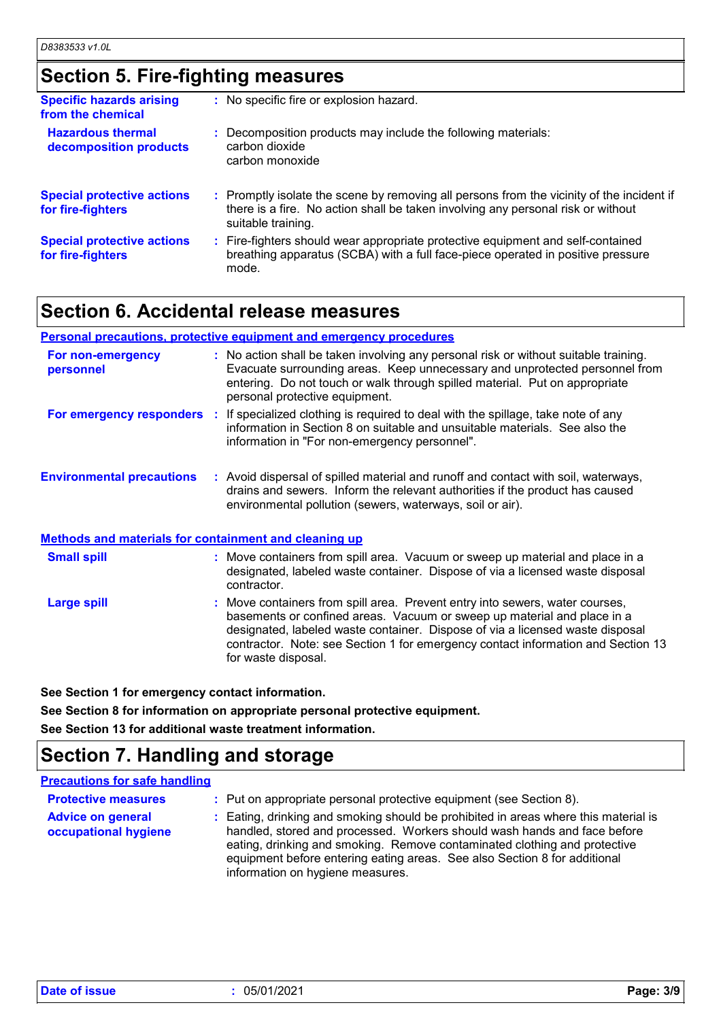## **Section 5. Fire-fighting measures**

| <b>Specific hazards arising</b><br>from the chemical   | : No specific fire or explosion hazard.                                                                                                                                                             |
|--------------------------------------------------------|-----------------------------------------------------------------------------------------------------------------------------------------------------------------------------------------------------|
| <b>Hazardous thermal</b><br>decomposition products     | : Decomposition products may include the following materials:<br>carbon dioxide<br>carbon monoxide                                                                                                  |
| <b>Special protective actions</b><br>for fire-fighters | : Promptly isolate the scene by removing all persons from the vicinity of the incident if<br>there is a fire. No action shall be taken involving any personal risk or without<br>suitable training. |
| <b>Special protective actions</b><br>for fire-fighters | : Fire-fighters should wear appropriate protective equipment and self-contained<br>breathing apparatus (SCBA) with a full face-piece operated in positive pressure<br>mode.                         |

### **Section 6. Accidental release measures**

#### **Personal precautions, protective equipment and emergency procedures**

| For non-emergency<br>personnel                               | : No action shall be taken involving any personal risk or without suitable training.<br>Evacuate surrounding areas. Keep unnecessary and unprotected personnel from<br>entering. Do not touch or walk through spilled material. Put on appropriate<br>personal protective equipment. |
|--------------------------------------------------------------|--------------------------------------------------------------------------------------------------------------------------------------------------------------------------------------------------------------------------------------------------------------------------------------|
| For emergency responders                                     | If specialized clothing is required to deal with the spillage, take note of any<br>Æ.<br>information in Section 8 on suitable and unsuitable materials. See also the<br>information in "For non-emergency personnel".                                                                |
| <b>Environmental precautions</b>                             | : Avoid dispersal of spilled material and runoff and contact with soil, waterways,<br>drains and sewers. Inform the relevant authorities if the product has caused<br>environmental pollution (sewers, waterways, soil or air).                                                      |
| <b>Methods and materials for containment and cleaning up</b> |                                                                                                                                                                                                                                                                                      |
| <b>Small spill</b>                                           | : Move containers from spill area. Vacuum or sweep up material and place in a<br>designated, labeled waste container. Dispose of via a licensed waste disposal                                                                                                                       |

Move containers from spill area. Prevent entry into sewers, water courses, basements or confined areas. Vacuum or sweep up material and place in a designated, labeled waste container. Dispose of via a licensed waste disposal contractor. Note: see Section 1 for emergency contact information and Section 13 for waste disposal. **Large spill :** contractor.

**See Section 1 for emergency contact information.**

**See Section 8 for information on appropriate personal protective equipment. See Section 13 for additional waste treatment information.**

### **Section 7. Handling and storage**

#### **Precautions for safe handling**

| <b>Protective measures</b>                       | : Put on appropriate personal protective equipment (see Section 8).                                                                                                                                                                                                                                                                                           |
|--------------------------------------------------|---------------------------------------------------------------------------------------------------------------------------------------------------------------------------------------------------------------------------------------------------------------------------------------------------------------------------------------------------------------|
| <b>Advice on general</b><br>occupational hygiene | : Eating, drinking and smoking should be prohibited in areas where this material is<br>handled, stored and processed. Workers should wash hands and face before<br>eating, drinking and smoking. Remove contaminated clothing and protective<br>equipment before entering eating areas. See also Section 8 for additional<br>information on hygiene measures. |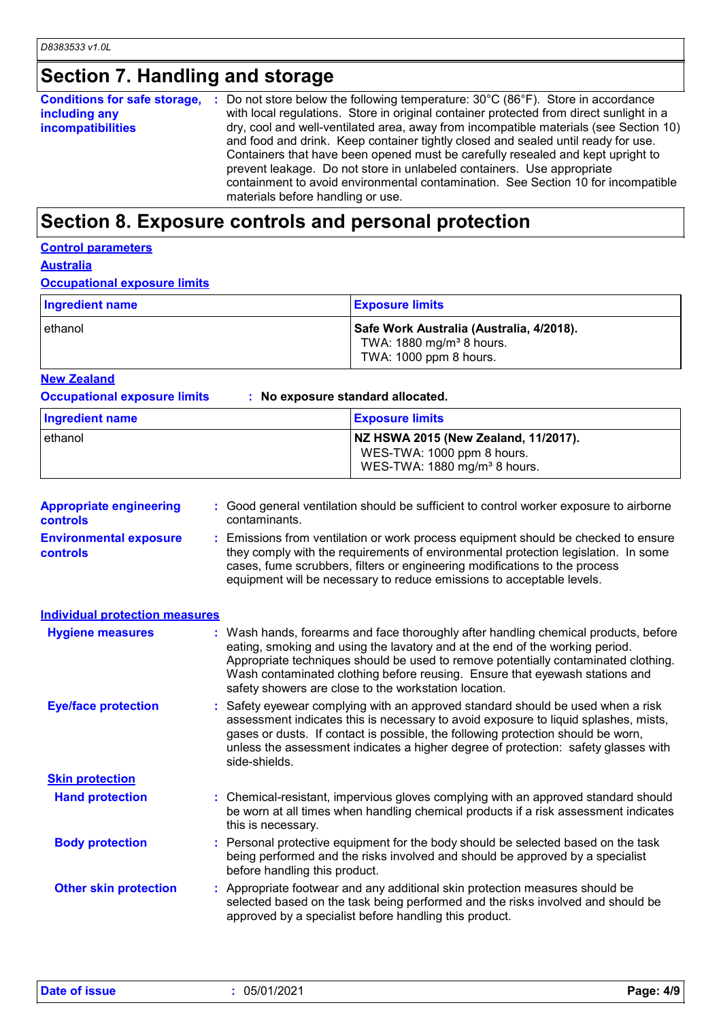## **Section 7. Handling and storage**

| Conditions for safe storage, : | Do not store below the following temperature: $30^{\circ}$ C (86 $^{\circ}$ F). Store in accordance |
|--------------------------------|-----------------------------------------------------------------------------------------------------|
| including any                  | with local regulations. Store in original container protected from direct sunlight in a             |
| incompatibilities              | dry, cool and well-ventilated area, away from incompatible materials (see Section 10)               |
|                                | and food and drink. Keep container tightly closed and sealed until ready for use.                   |
|                                | Containers that have been opened must be carefully resealed and kept upright to                     |
|                                | prevent leakage. Do not store in unlabeled containers. Use appropriate                              |
|                                | containment to avoid environmental contamination. See Section 10 for incompatible                   |
|                                | materials before handling or use.                                                                   |

### **Section 8. Exposure controls and personal protection**

### **Control parameters**

**Australia**

#### **Occupational exposure limits**

| Ingredient name | <b>Exposure limits</b>                                                                                     |
|-----------------|------------------------------------------------------------------------------------------------------------|
| lethanol        | Safe Work Australia (Australia, 4/2018).<br>TWA: 1880 mg/m <sup>3</sup> 8 hours.<br>TWA: 1000 ppm 8 hours. |

#### **New Zealand**

**Occupational exposure limits : No exposure standard allocated.**

| Ingredient name | <b>Exposure limits</b>                                                                                         |
|-----------------|----------------------------------------------------------------------------------------------------------------|
| ethanol         | NZ HSWA 2015 (New Zealand, 11/2017).<br>WES-TWA: 1000 ppm 8 hours.<br>WES-TWA: 1880 mg/m <sup>3</sup> 8 hours. |

| <b>Appropriate engineering</b><br><b>controls</b> | : Good general ventilation should be sufficient to control worker exposure to airborne<br>contaminants.                                                                                                                                                                                                                                                                                           |
|---------------------------------------------------|---------------------------------------------------------------------------------------------------------------------------------------------------------------------------------------------------------------------------------------------------------------------------------------------------------------------------------------------------------------------------------------------------|
| <b>Environmental exposure</b><br><b>controls</b>  | : Emissions from ventilation or work process equipment should be checked to ensure<br>they comply with the requirements of environmental protection legislation. In some<br>cases, fume scrubbers, filters or engineering modifications to the process<br>equipment will be necessary to reduce emissions to acceptable levels.                                                                   |
| <b>Individual protection measures</b>             |                                                                                                                                                                                                                                                                                                                                                                                                   |
| <b>Hygiene measures</b>                           | : Wash hands, forearms and face thoroughly after handling chemical products, before<br>eating, smoking and using the lavatory and at the end of the working period.<br>Appropriate techniques should be used to remove potentially contaminated clothing.<br>Wash contaminated clothing before reusing. Ensure that eyewash stations and<br>safety showers are close to the workstation location. |
| <b>Eye/face protection</b>                        | : Safety eyewear complying with an approved standard should be used when a risk<br>assessment indicates this is necessary to avoid exposure to liquid splashes, mists,<br>gases or dusts. If contact is possible, the following protection should be worn,<br>unless the assessment indicates a higher degree of protection: safety glasses with<br>side-shields.                                 |
| <b>Skin protection</b>                            |                                                                                                                                                                                                                                                                                                                                                                                                   |
| <b>Hand protection</b>                            | : Chemical-resistant, impervious gloves complying with an approved standard should<br>be worn at all times when handling chemical products if a risk assessment indicates<br>this is necessary.                                                                                                                                                                                                   |
| <b>Body protection</b>                            | : Personal protective equipment for the body should be selected based on the task<br>being performed and the risks involved and should be approved by a specialist<br>before handling this product.                                                                                                                                                                                               |
| <b>Other skin protection</b>                      | : Appropriate footwear and any additional skin protection measures should be<br>selected based on the task being performed and the risks involved and should be<br>approved by a specialist before handling this product.                                                                                                                                                                         |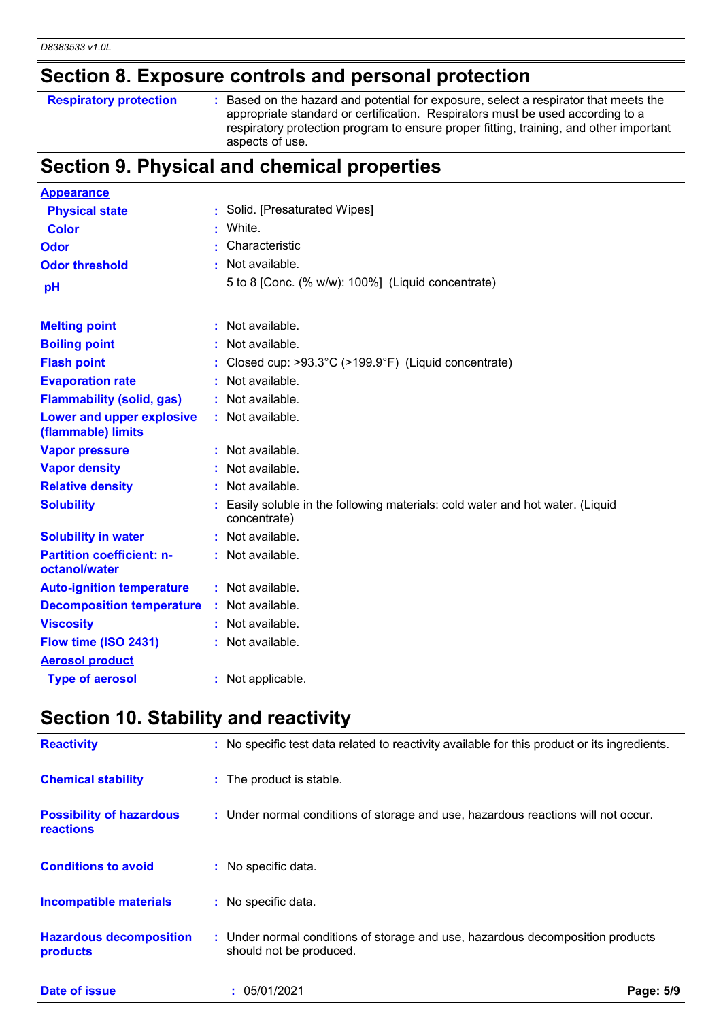## **Section 8. Exposure controls and personal protection**

| <b>Respiratory protection</b> |  |  |
|-------------------------------|--|--|
|-------------------------------|--|--|

**Respiratory protection** : Based on the hazard and potential for exposure, select a respirator that meets the appropriate standard or certification. Respirators must be used according to a respiratory protection program to ensure proper fitting, training, and other important aspects of use.

### **Section 9. Physical and chemical properties**

| <b>Appearance</b>                                 |                                                                                              |
|---------------------------------------------------|----------------------------------------------------------------------------------------------|
| <b>Physical state</b>                             | Solid. [Presaturated Wipes]                                                                  |
| <b>Color</b>                                      | White.                                                                                       |
| <b>Odor</b>                                       | Characteristic                                                                               |
| <b>Odor threshold</b>                             | : Not available.                                                                             |
| pH                                                | 5 to 8 [Conc. (% w/w): 100%] (Liquid concentrate)                                            |
|                                                   |                                                                                              |
| <b>Melting point</b>                              | : Not available.                                                                             |
| <b>Boiling point</b>                              | : Not available.                                                                             |
| <b>Flash point</b>                                | Closed cup: $>93.3^{\circ}C$ ( $>199.9^{\circ}F$ ) (Liquid concentrate)                      |
| <b>Evaporation rate</b>                           | : Not available.                                                                             |
| <b>Flammability (solid, gas)</b>                  | : Not available.                                                                             |
| Lower and upper explosive<br>(flammable) limits   | : Not available.                                                                             |
| <b>Vapor pressure</b>                             | : Not available.                                                                             |
| <b>Vapor density</b>                              | Not available.                                                                               |
| <b>Relative density</b>                           | : Not available.                                                                             |
| <b>Solubility</b>                                 | Easily soluble in the following materials: cold water and hot water. (Liquid<br>concentrate) |
| <b>Solubility in water</b>                        | : Not available.                                                                             |
| <b>Partition coefficient: n-</b><br>octanol/water | : Not available.                                                                             |
| <b>Auto-ignition temperature</b>                  | : Not available.                                                                             |
| <b>Decomposition temperature</b>                  | $:$ Not available.                                                                           |
| <b>Viscosity</b>                                  | : Not available.                                                                             |
| Flow time (ISO 2431)                              | : Not available.                                                                             |
| <b>Aerosol product</b>                            |                                                                                              |
| <b>Type of aerosol</b>                            | : Not applicable.                                                                            |

### **Section 10. Stability and reactivity**

| <b>Date of issue</b>                                | 05/01/2021                                                                                                | Page: 5/9 |
|-----------------------------------------------------|-----------------------------------------------------------------------------------------------------------|-----------|
| <b>Hazardous decomposition</b><br>products          | : Under normal conditions of storage and use, hazardous decomposition products<br>should not be produced. |           |
| <b>Incompatible materials</b>                       | : No specific data.                                                                                       |           |
| <b>Conditions to avoid</b>                          | : No specific data.                                                                                       |           |
| <b>Possibility of hazardous</b><br><b>reactions</b> | : Under normal conditions of storage and use, hazardous reactions will not occur.                         |           |
| <b>Chemical stability</b>                           | : The product is stable.                                                                                  |           |
| <b>Reactivity</b>                                   | : No specific test data related to reactivity available for this product or its ingredients.              |           |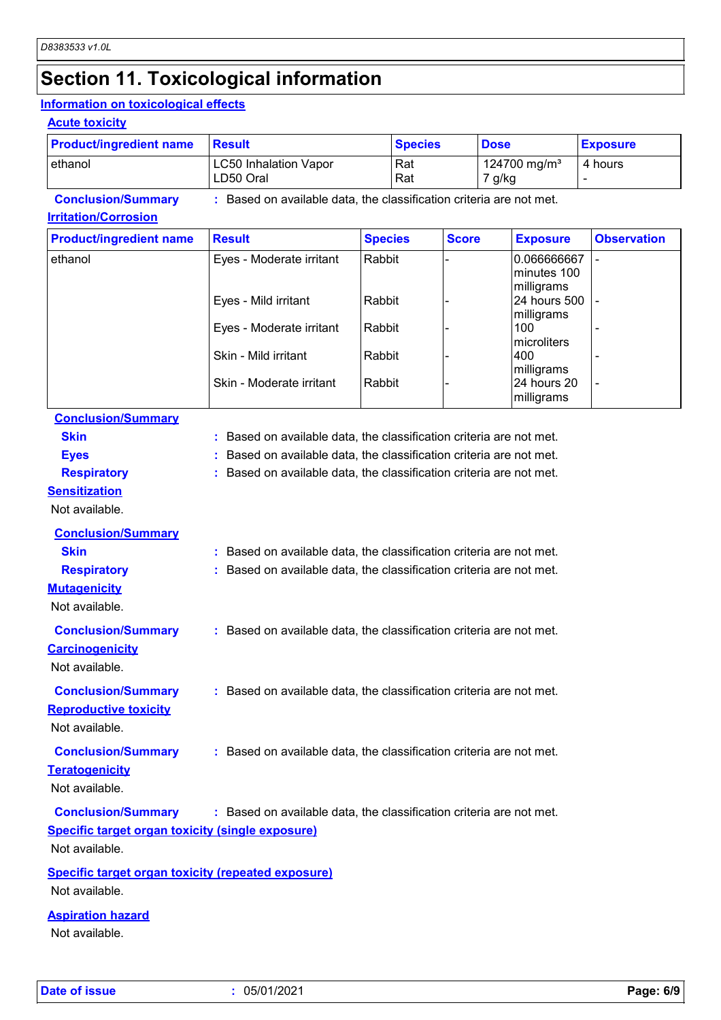## **Section 11. Toxicological information**

#### **Information on toxicological effects**

#### **Acute toxicity**

| <b>Product/ingredient name</b> | <b>Result</b>                                                     | <b>Species</b> | <b>Dose</b>                        | <b>Exposure</b> |
|--------------------------------|-------------------------------------------------------------------|----------------|------------------------------------|-----------------|
| lethanol                       | <b>LC50 Inhalation Vapor</b><br>LD50 Oral                         | l Rat<br>  Rat | 124700 mg/m <sup>3</sup><br>7 g/kg | 4 hours         |
| <b>Conclusion/Summary</b>      | Based on available data, the classification criteria are not met. |                |                                    |                 |

#### **Irritation/Corrosion**

| <b>Product/ingredient name</b> | <b>Result</b>            | <b>Species</b> | <b>Score</b> | <b>Exposure</b>                          | <b>Observation</b> |
|--------------------------------|--------------------------|----------------|--------------|------------------------------------------|--------------------|
| ethanol                        | Eyes - Moderate irritant | Rabbit         |              | 0.066666667<br>minutes 100<br>milligrams |                    |
|                                | Eyes - Mild irritant     | Rabbit         |              | 24 hours 500<br>milligrams               |                    |
|                                | Eyes - Moderate irritant | Rabbit         |              | 100<br>microliters                       |                    |
|                                | Skin - Mild irritant     | Rabbit         |              | 400<br>milligrams                        |                    |
|                                | Skin - Moderate irritant | Rabbit         |              | 24 hours 20<br>milligrams                |                    |

### **Conclusion/Summary**

| <b>Skin</b>                                               | : Based on available data, the classification criteria are not met. |
|-----------------------------------------------------------|---------------------------------------------------------------------|
| <b>Eyes</b>                                               | Based on available data, the classification criteria are not met.   |
| <b>Respiratory</b>                                        | Based on available data, the classification criteria are not met.   |
| <b>Sensitization</b>                                      |                                                                     |
| Not available.                                            |                                                                     |
| <b>Conclusion/Summary</b>                                 |                                                                     |
| <b>Skin</b>                                               | : Based on available data, the classification criteria are not met. |
| <b>Respiratory</b>                                        | Based on available data, the classification criteria are not met.   |
| <b>Mutagenicity</b>                                       |                                                                     |
| Not available.                                            |                                                                     |
| <b>Conclusion/Summary</b>                                 | : Based on available data, the classification criteria are not met. |
| <b>Carcinogenicity</b>                                    |                                                                     |
| Not available.                                            |                                                                     |
| <b>Conclusion/Summary</b>                                 | : Based on available data, the classification criteria are not met. |
| <b>Reproductive toxicity</b>                              |                                                                     |
| Not available.                                            |                                                                     |
| <b>Conclusion/Summary</b>                                 | : Based on available data, the classification criteria are not met. |
| <b>Teratogenicity</b>                                     |                                                                     |
| Not available.                                            |                                                                     |
| <b>Conclusion/Summary</b>                                 | : Based on available data, the classification criteria are not met. |
| <b>Specific target organ toxicity (single exposure)</b>   |                                                                     |
| Not available.                                            |                                                                     |
|                                                           |                                                                     |
| <b>Specific target organ toxicity (repeated exposure)</b> |                                                                     |
| Not available.                                            |                                                                     |

#### **Aspiration hazard**

Not available.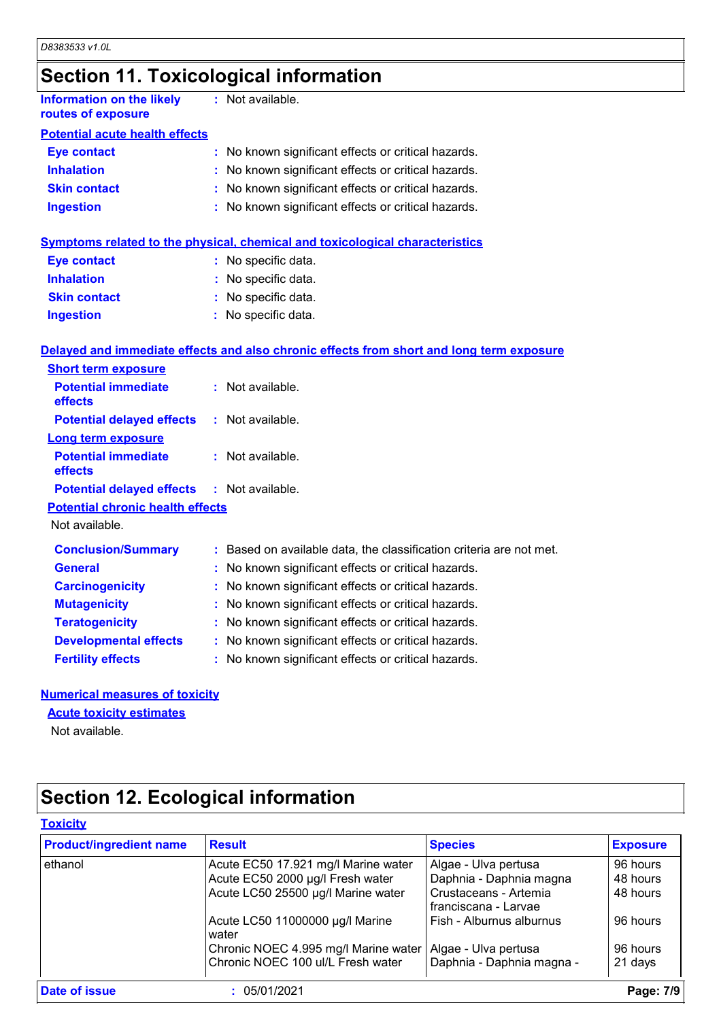## **Section 11. Toxicological information**

| Information on the likely<br>routes of exposure | : Not available.                                    |
|-------------------------------------------------|-----------------------------------------------------|
| <b>Potential acute health effects</b>           |                                                     |
| <b>Eye contact</b>                              | : No known significant effects or critical hazards. |
| <b>Inhalation</b>                               | : No known significant effects or critical hazards. |
| <b>Skin contact</b>                             | : No known significant effects or critical hazards. |
| <b>Ingestion</b>                                | : No known significant effects or critical hazards. |
|                                                 |                                                     |

#### **Symptoms related to the physical, chemical and toxicological characteristics**

| <b>Eye contact</b>  | : No specific data. |
|---------------------|---------------------|
| <b>Inhalation</b>   | : No specific data. |
| <b>Skin contact</b> | : No specific data. |
| <b>Ingestion</b>    | : No specific data. |

#### **Delayed and immediate effects and also chronic effects from short and long term exposure**

| <b>Short term exposure</b>                        |                                                                     |
|---------------------------------------------------|---------------------------------------------------------------------|
| <b>Potential immediate</b><br><b>effects</b>      | $:$ Not available.                                                  |
| <b>Potential delayed effects</b>                  | : Not available.                                                    |
| Long term exposure                                |                                                                     |
| <b>Potential immediate</b><br>effects             | $:$ Not available.                                                  |
| <b>Potential delayed effects : Not available.</b> |                                                                     |
| <b>Potential chronic health effects</b>           |                                                                     |
| Not available.                                    |                                                                     |
| <b>Conclusion/Summary</b>                         | : Based on available data, the classification criteria are not met. |
| <b>General</b>                                    | : No known significant effects or critical hazards.                 |
| <b>Carcinogenicity</b>                            | : No known significant effects or critical hazards.                 |
| <b>Mutagenicity</b>                               | : No known significant effects or critical hazards.                 |
| <b>Teratogenicity</b>                             | : No known significant effects or critical hazards.                 |
| <b>Developmental effects</b>                      | : No known significant effects or critical hazards.                 |
| <b>Fertility effects</b>                          | : No known significant effects or critical hazards.                 |

#### **Numerical measures of toxicity**

#### **Acute toxicity estimates**

Not available.

## **Section 12. Ecological information**

| <b>Product/ingredient name</b> | <b>Result</b>                            | <b>Species</b>                                | <b>Exposure</b> |
|--------------------------------|------------------------------------------|-----------------------------------------------|-----------------|
| ethanol                        | Acute EC50 17.921 mg/l Marine water      | Algae - Ulva pertusa                          | 96 hours        |
|                                | Acute EC50 2000 µg/l Fresh water         | Daphnia - Daphnia magna                       | 48 hours        |
|                                | Acute LC50 25500 µg/l Marine water       | Crustaceans - Artemia<br>franciscana - Larvae | 48 hours        |
|                                | Acute LC50 11000000 µg/l Marine<br>water | Fish - Alburnus alburnus                      | 96 hours        |
|                                | Chronic NOEC 4.995 mg/l Marine water     | Algae - Ulva pertusa                          | 96 hours        |
|                                | Chronic NOEC 100 ul/L Fresh water        | Daphnia - Daphnia magna -                     | 21 days         |
| Date of issue                  | 05/01/2021                               |                                               | Page: 7/9       |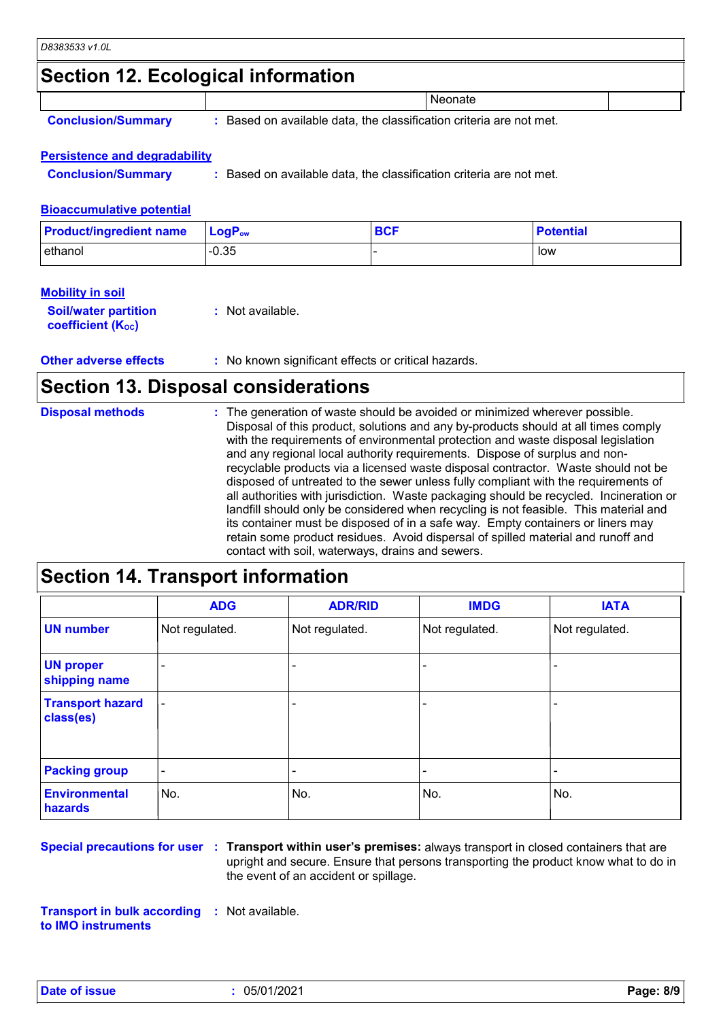### **Section 12. Ecological information**

|  |  | <b>Conclusion/Summary</b> |
|--|--|---------------------------|
|  |  |                           |

**:** Based on available data, the classification criteria are not met.

**Neonate** 

#### **Persistence and degradability**

**Conclusion/Summary :** Based on available data, the classification criteria are not met.

#### **Bioaccumulative potential**

| <b>Product/ingredient name</b> | $\mathsf{LocP}_\mathsf{ow}$ | <b>BCF</b> | <b>Potential</b> |
|--------------------------------|-----------------------------|------------|------------------|
| ethanol                        | $-0.35$                     |            | low              |

#### **Mobility in soil**

| <b>Soil/water partition</b> | : Not available. |
|-----------------------------|------------------|
| <b>coefficient (Koc)</b>    |                  |

**Other adverse effects** : No known significant effects or critical hazards.

### **Section 13. Disposal considerations**

| <b>Disposal methods</b> | : The generation of waste should be avoided or minimized wherever possible.<br>Disposal of this product, solutions and any by-products should at all times comply<br>with the requirements of environmental protection and waste disposal legislation<br>and any regional local authority requirements. Dispose of surplus and non-<br>recyclable products via a licensed waste disposal contractor. Waste should not be<br>disposed of untreated to the sewer unless fully compliant with the requirements of<br>all authorities with jurisdiction. Waste packaging should be recycled. Incineration or<br>landfill should only be considered when recycling is not feasible. This material and<br>its container must be disposed of in a safe way. Empty containers or liners may<br>retain some product residues. Avoid dispersal of spilled material and runoff and |
|-------------------------|-------------------------------------------------------------------------------------------------------------------------------------------------------------------------------------------------------------------------------------------------------------------------------------------------------------------------------------------------------------------------------------------------------------------------------------------------------------------------------------------------------------------------------------------------------------------------------------------------------------------------------------------------------------------------------------------------------------------------------------------------------------------------------------------------------------------------------------------------------------------------|
|                         | contact with soil, waterways, drains and sewers.                                                                                                                                                                                                                                                                                                                                                                                                                                                                                                                                                                                                                                                                                                                                                                                                                        |

### **Section 14. Transport information**

|                                      | <b>ADG</b>               | <b>ADR/RID</b> | <b>IMDG</b>              | <b>IATA</b>    |
|--------------------------------------|--------------------------|----------------|--------------------------|----------------|
| <b>UN number</b>                     | Not regulated.           | Not regulated. | Not regulated.           | Not regulated. |
| <b>UN proper</b><br>shipping name    |                          |                | ۰                        |                |
| <b>Transport hazard</b><br>class(es) |                          |                | ۰                        |                |
| <b>Packing group</b>                 | $\overline{\phantom{a}}$ |                | $\overline{\phantom{0}}$ |                |
| <b>Environmental</b><br>hazards      | No.                      | No.            | No.                      | No.            |

**Special precautions for user Transport within user's premises:** always transport in closed containers that are **:** upright and secure. Ensure that persons transporting the product know what to do in the event of an accident or spillage.

**Transport in bulk according :** Not available. **to IMO instruments**